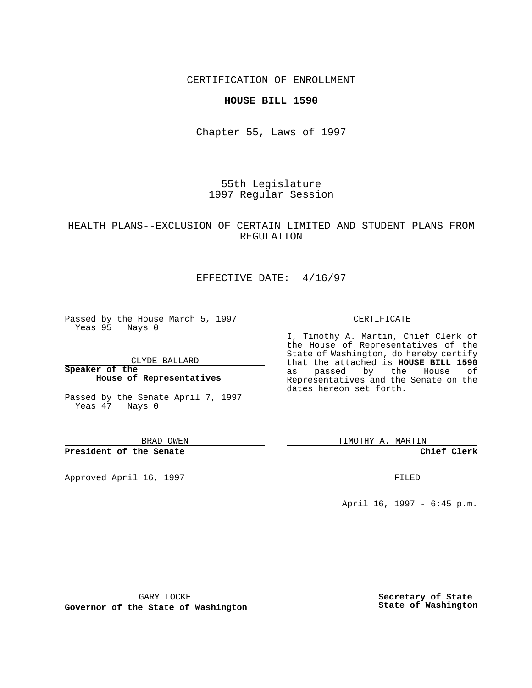CERTIFICATION OF ENROLLMENT

### **HOUSE BILL 1590**

Chapter 55, Laws of 1997

55th Legislature 1997 Regular Session

# HEALTH PLANS--EXCLUSION OF CERTAIN LIMITED AND STUDENT PLANS FROM REGULATION

# EFFECTIVE DATE: 4/16/97

Passed by the House March 5, 1997 Yeas 95 Nays 0

CLYDE BALLARD

**Speaker of the House of Representatives**

Passed by the Senate April 7, 1997 Yeas 47 Nays 0

BRAD OWEN

**President of the Senate**

Approved April 16, 1997 **FILED** 

#### CERTIFICATE

I, Timothy A. Martin, Chief Clerk of the House of Representatives of the State of Washington, do hereby certify that the attached is **HOUSE BILL 1590** as passed by the House of Representatives and the Senate on the dates hereon set forth.

TIMOTHY A. MARTIN

**Chief Clerk**

April 16, 1997 - 6:45 p.m.

GARY LOCKE

**Governor of the State of Washington**

**Secretary of State State of Washington**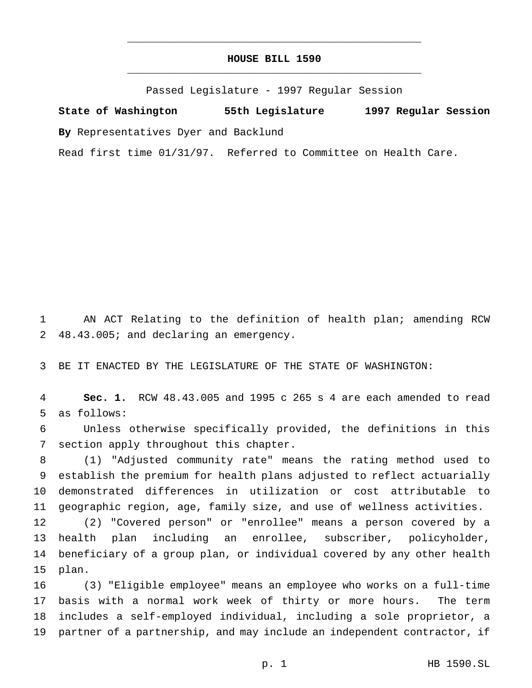# **HOUSE BILL 1590** \_\_\_\_\_\_\_\_\_\_\_\_\_\_\_\_\_\_\_\_\_\_\_\_\_\_\_\_\_\_\_\_\_\_\_\_\_\_\_\_\_\_\_\_\_\_\_

\_\_\_\_\_\_\_\_\_\_\_\_\_\_\_\_\_\_\_\_\_\_\_\_\_\_\_\_\_\_\_\_\_\_\_\_\_\_\_\_\_\_\_\_\_\_\_

Passed Legislature - 1997 Regular Session

**State of Washington 55th Legislature 1997 Regular Session By** Representatives Dyer and Backlund

Read first time 01/31/97. Referred to Committee on Health Care.

 AN ACT Relating to the definition of health plan; amending RCW 48.43.005; and declaring an emergency.

BE IT ENACTED BY THE LEGISLATURE OF THE STATE OF WASHINGTON:

 **Sec. 1.** RCW 48.43.005 and 1995 c 265 s 4 are each amended to read as follows:

 Unless otherwise specifically provided, the definitions in this section apply throughout this chapter.

 (1) "Adjusted community rate" means the rating method used to establish the premium for health plans adjusted to reflect actuarially demonstrated differences in utilization or cost attributable to geographic region, age, family size, and use of wellness activities.

 (2) "Covered person" or "enrollee" means a person covered by a health plan including an enrollee, subscriber, policyholder, beneficiary of a group plan, or individual covered by any other health plan.

 (3) "Eligible employee" means an employee who works on a full-time basis with a normal work week of thirty or more hours. The term includes a self-employed individual, including a sole proprietor, a partner of a partnership, and may include an independent contractor, if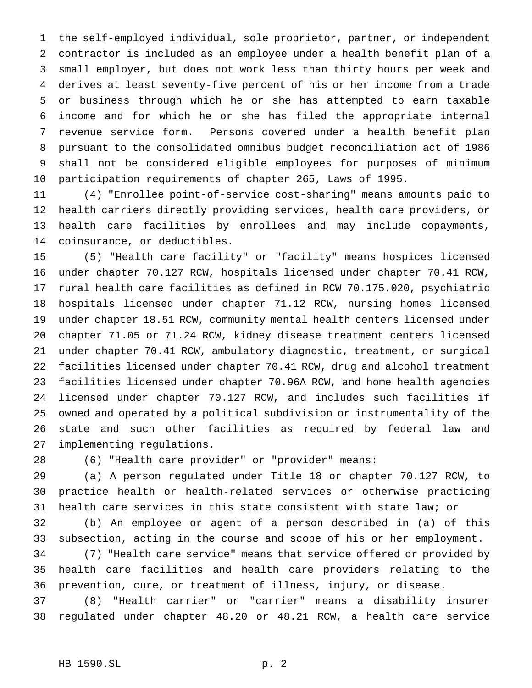the self-employed individual, sole proprietor, partner, or independent contractor is included as an employee under a health benefit plan of a small employer, but does not work less than thirty hours per week and derives at least seventy-five percent of his or her income from a trade or business through which he or she has attempted to earn taxable income and for which he or she has filed the appropriate internal revenue service form. Persons covered under a health benefit plan pursuant to the consolidated omnibus budget reconciliation act of 1986 shall not be considered eligible employees for purposes of minimum participation requirements of chapter 265, Laws of 1995.

 (4) "Enrollee point-of-service cost-sharing" means amounts paid to health carriers directly providing services, health care providers, or health care facilities by enrollees and may include copayments, coinsurance, or deductibles.

 (5) "Health care facility" or "facility" means hospices licensed under chapter 70.127 RCW, hospitals licensed under chapter 70.41 RCW, rural health care facilities as defined in RCW 70.175.020, psychiatric hospitals licensed under chapter 71.12 RCW, nursing homes licensed under chapter 18.51 RCW, community mental health centers licensed under chapter 71.05 or 71.24 RCW, kidney disease treatment centers licensed under chapter 70.41 RCW, ambulatory diagnostic, treatment, or surgical facilities licensed under chapter 70.41 RCW, drug and alcohol treatment facilities licensed under chapter 70.96A RCW, and home health agencies licensed under chapter 70.127 RCW, and includes such facilities if owned and operated by a political subdivision or instrumentality of the state and such other facilities as required by federal law and implementing regulations.

(6) "Health care provider" or "provider" means:

 (a) A person regulated under Title 18 or chapter 70.127 RCW, to practice health or health-related services or otherwise practicing health care services in this state consistent with state law; or

 (b) An employee or agent of a person described in (a) of this subsection, acting in the course and scope of his or her employment.

 (7) "Health care service" means that service offered or provided by health care facilities and health care providers relating to the prevention, cure, or treatment of illness, injury, or disease.

 (8) "Health carrier" or "carrier" means a disability insurer regulated under chapter 48.20 or 48.21 RCW, a health care service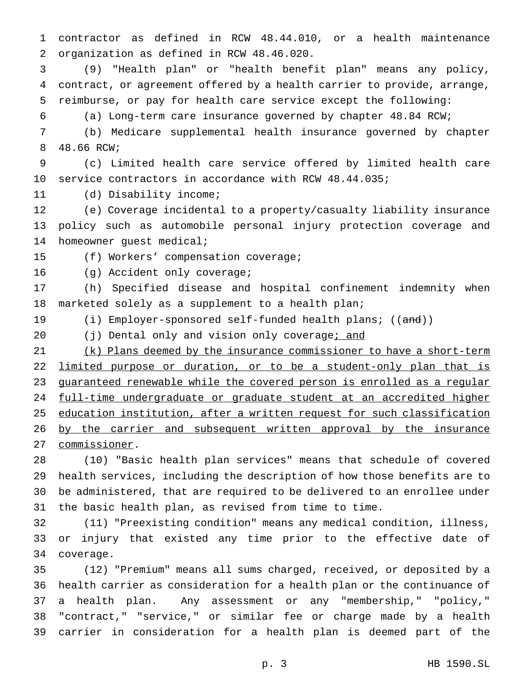contractor as defined in RCW 48.44.010, or a health maintenance organization as defined in RCW 48.46.020.

 (9) "Health plan" or "health benefit plan" means any policy, contract, or agreement offered by a health carrier to provide, arrange, reimburse, or pay for health care service except the following:

(a) Long-term care insurance governed by chapter 48.84 RCW;

 (b) Medicare supplemental health insurance governed by chapter 48.66 RCW;

 (c) Limited health care service offered by limited health care service contractors in accordance with RCW 48.44.035;

(d) Disability income;

 (e) Coverage incidental to a property/casualty liability insurance policy such as automobile personal injury protection coverage and homeowner guest medical;

(f) Workers' compensation coverage;

(g) Accident only coverage;

 (h) Specified disease and hospital confinement indemnity when marketed solely as a supplement to a health plan;

19 (i) Employer-sponsored self-funded health plans; ((and))

20 (j) Dental only and vision only coverage; and

 (k) Plans deemed by the insurance commissioner to have a short-term 22 limited purpose or duration, or to be a student-only plan that is 23 guaranteed renewable while the covered person is enrolled as a regular 24 full-time undergraduate or graduate student at an accredited higher education institution, after a written request for such classification 26 by the carrier and subsequent written approval by the insurance commissioner.

 (10) "Basic health plan services" means that schedule of covered health services, including the description of how those benefits are to be administered, that are required to be delivered to an enrollee under the basic health plan, as revised from time to time.

 (11) "Preexisting condition" means any medical condition, illness, or injury that existed any time prior to the effective date of coverage.

 (12) "Premium" means all sums charged, received, or deposited by a health carrier as consideration for a health plan or the continuance of a health plan. Any assessment or any "membership," "policy," "contract," "service," or similar fee or charge made by a health carrier in consideration for a health plan is deemed part of the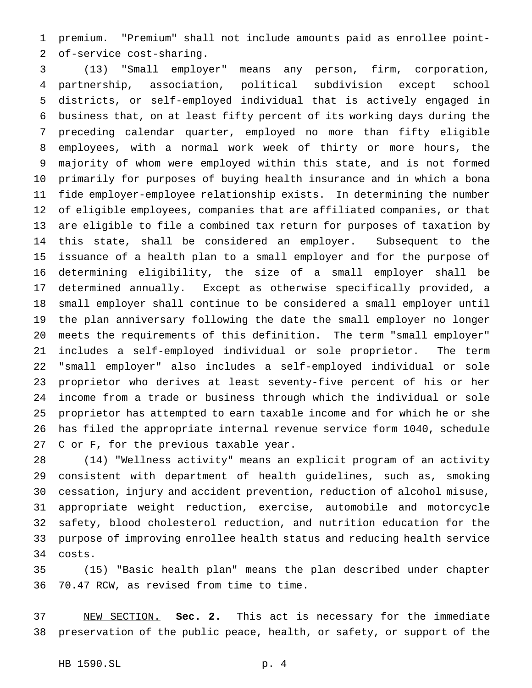premium. "Premium" shall not include amounts paid as enrollee point-of-service cost-sharing.

 (13) "Small employer" means any person, firm, corporation, partnership, association, political subdivision except school districts, or self-employed individual that is actively engaged in business that, on at least fifty percent of its working days during the preceding calendar quarter, employed no more than fifty eligible employees, with a normal work week of thirty or more hours, the majority of whom were employed within this state, and is not formed primarily for purposes of buying health insurance and in which a bona fide employer-employee relationship exists. In determining the number of eligible employees, companies that are affiliated companies, or that are eligible to file a combined tax return for purposes of taxation by this state, shall be considered an employer. Subsequent to the issuance of a health plan to a small employer and for the purpose of determining eligibility, the size of a small employer shall be determined annually. Except as otherwise specifically provided, a small employer shall continue to be considered a small employer until the plan anniversary following the date the small employer no longer meets the requirements of this definition. The term "small employer" includes a self-employed individual or sole proprietor. The term "small employer" also includes a self-employed individual or sole proprietor who derives at least seventy-five percent of his or her income from a trade or business through which the individual or sole proprietor has attempted to earn taxable income and for which he or she has filed the appropriate internal revenue service form 1040, schedule C or F, for the previous taxable year.

 (14) "Wellness activity" means an explicit program of an activity consistent with department of health guidelines, such as, smoking cessation, injury and accident prevention, reduction of alcohol misuse, appropriate weight reduction, exercise, automobile and motorcycle safety, blood cholesterol reduction, and nutrition education for the purpose of improving enrollee health status and reducing health service costs.

 (15) "Basic health plan" means the plan described under chapter 70.47 RCW, as revised from time to time.

 NEW SECTION. **Sec. 2.** This act is necessary for the immediate preservation of the public peace, health, or safety, or support of the